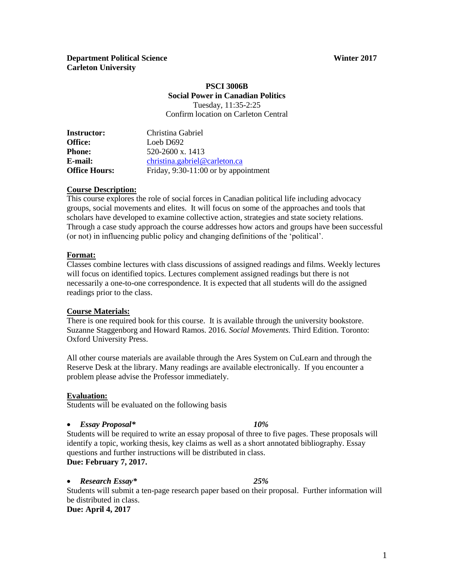### **Department Political Science** *Winter 2017* **Carleton University**

### **PSCI 3006B Social Power in Canadian Politics** Tuesday, 11:35-2:25

Confirm location on Carleton Central

| <b>Instructor:</b>   | Christina Gabriel                      |
|----------------------|----------------------------------------|
| Office:              | Loeb D692                              |
| <b>Phone:</b>        | 520-2600 x, 1413                       |
| E-mail:              | christina.gabriel@carleton.ca          |
| <b>Office Hours:</b> | Friday, $9:30-11:00$ or by appointment |

## **Course Description:**

This course explores the role of social forces in Canadian political life including advocacy groups, social movements and elites. It will focus on some of the approaches and tools that scholars have developed to examine collective action, strategies and state society relations. Through a case study approach the course addresses how actors and groups have been successful (or not) in influencing public policy and changing definitions of the 'political'.

#### **Format:**

Classes combine lectures with class discussions of assigned readings and films. Weekly lectures will focus on identified topics. Lectures complement assigned readings but there is not necessarily a one-to-one correspondence. It is expected that all students will do the assigned readings prior to the class.

#### **Course Materials:**

There is one required book for this course. It is available through the university bookstore. Suzanne Staggenborg and Howard Ramos. 2016. *Social Movements.* Third Edition. Toronto: Oxford University Press.

All other course materials are available through the Ares System on CuLearn and through the Reserve Desk at the library. Many readings are available electronically. If you encounter a problem please advise the Professor immediately.

#### **Evaluation:**

Students will be evaluated on the following basis

#### *Essay Proposal\* 10%*

Students will be required to write an essay proposal of three to five pages. These proposals will identify a topic, working thesis, key claims as well as a short annotated bibliography. Essay questions and further instructions will be distributed in class. **Due: February 7, 2017.**

#### *Research Essay\* 25%* Students will submit a ten-page research paper based on their proposal. Further information will be distributed in class. **Due: April 4, 2017**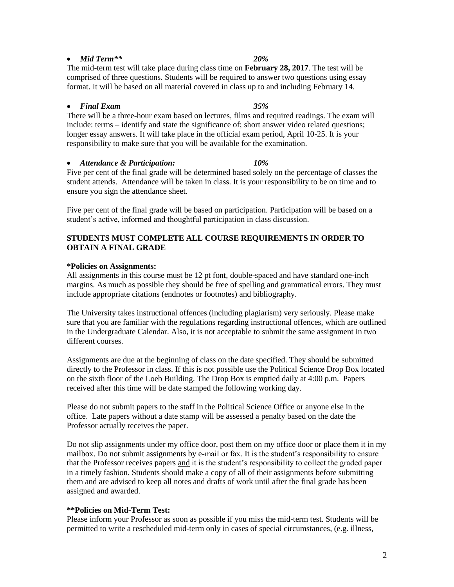# **\*\*Policies on Mid-Term Test:**

assigned and awarded.

Please inform your Professor as soon as possible if you miss the mid-term test. Students will be permitted to write a rescheduled mid-term only in cases of special circumstances, (e.g. illness,

#### **STUDENTS MUST COMPLETE ALL COURSE REQUIREMENTS IN ORDER TO**

#### **\*Policies on Assignments:**

**OBTAIN A FINAL GRADE**

All assignments in this course must be 12 pt font, double-spaced and have standard one-inch margins. As much as possible they should be free of spelling and grammatical errors. They must include appropriate citations (endnotes or footnotes) and bibliography.

The University takes instructional offences (including plagiarism) very seriously. Please make sure that you are familiar with the regulations regarding instructional offences, which are outlined in the Undergraduate Calendar. Also, it is not acceptable to submit the same assignment in two different courses.

directly to the Professor in class. If this is not possible use the Political Science Drop Box located

Assignments are due at the beginning of class on the date specified. They should be submitted on the sixth floor of the Loeb Building. The Drop Box is emptied daily at 4:00 p.m. Papers received after this time will be date stamped the following working day.

Do not slip assignments under my office door, post them on my office door or place them it in my mailbox. Do not submit assignments by e-mail or fax. It is the student's responsibility to ensure that the Professor receives papers and it is the student's responsibility to collect the graded paper in a timely fashion. Students should make a copy of all of their assignments before submitting them and are advised to keep all notes and drafts of work until after the final grade has been

Please do not submit papers to the staff in the Political Science Office or anyone else in the office. Late papers without a date stamp will be assessed a penalty based on the date the Professor actually receives the paper.

The mid-term test will take place during class time on **February 28, 2017**. The test will be comprised of three questions. Students will be required to answer two questions using essay format. It will be based on all material covered in class up to and including February 14. *Final Exam 35%*

There will be a three-hour exam based on lectures, films and required readings. The exam will include: terms – identify and state the significance of; short answer video related questions; longer essay answers. It will take place in the official exam period, April 10-25. It is your responsibility to make sure that you will be available for the examination.

#### *Attendance & Participation: 10%*

Five per cent of the final grade will be determined based solely on the percentage of classes the student attends. Attendance will be taken in class. It is your responsibility to be on time and to ensure you sign the attendance sheet.

Five per cent of the final grade will be based on participation. Participation will be based on a student's active, informed and thoughtful participation in class discussion.

# *Mid Term\*\* 20%*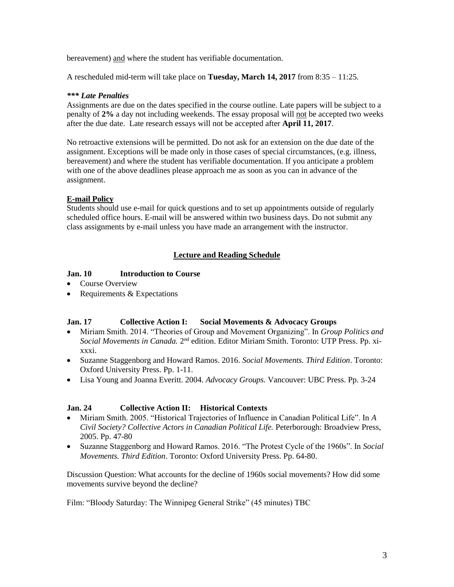bereavement) and where the student has verifiable documentation.

A rescheduled mid-term will take place on **Tuesday, March 14, 2017** from 8:35 – 11:25.

#### *\*\*\* Late Penalties*

Assignments are due on the dates specified in the course outline. Late papers will be subject to a penalty of **2%** a day not including weekends. The essay proposal will not be accepted two weeks after the due date. Late research essays will not be accepted after **April 11, 2017**.

No retroactive extensions will be permitted. Do not ask for an extension on the due date of the assignment. Exceptions will be made only in those cases of special circumstances, (e.g. illness, bereavement) and where the student has verifiable documentation. If you anticipate a problem with one of the above deadlines please approach me as soon as you can in advance of the assignment.

## **E-mail Policy**

Students should use e-mail for quick questions and to set up appointments outside of regularly scheduled office hours. E-mail will be answered within two business days. Do not submit any class assignments by e-mail unless you have made an arrangement with the instructor.

## **Lecture and Reading Schedule**

### **Jan. 10 Introduction to Course**

- Course Overview
- Requirements  $&$  Expectations

### **Jan. 17 Collective Action I: Social Movements & Advocacy Groups**

- Miriam Smith. 2014. "Theories of Group and Movement Organizing". In *Group Politics and*  Social Movements in Canada. 2<sup>nd</sup> edition. Editor Miriam Smith. Toronto: UTP Press. Pp. xixxxi.
- Suzanne Staggenborg and Howard Ramos. 2016. *Social Movements. Third Edition*. Toronto: Oxford University Press. Pp. 1-11.
- Lisa Young and Joanna Everitt. 2004. *Advocacy Groups.* Vancouver: UBC Press. Pp. 3-24

### **Jan. 24 Collective Action II: Historical Contexts**

- Miriam Smith. 2005. "Historical Trajectories of Influence in Canadian Political Life". In *A Civil Society? Collective Actors in Canadian Political Life.* Peterborough: Broadview Press, 2005. Pp. 47-80
- Suzanne Staggenborg and Howard Ramos. 2016. "The Protest Cycle of the 1960s". In *Social Movements. Third Edition*. Toronto: Oxford University Press. Pp. 64-80.

Discussion Question: What accounts for the decline of 1960s social movements? How did some movements survive beyond the decline?

Film: "Bloody Saturday: The Winnipeg General Strike" (45 minutes) TBC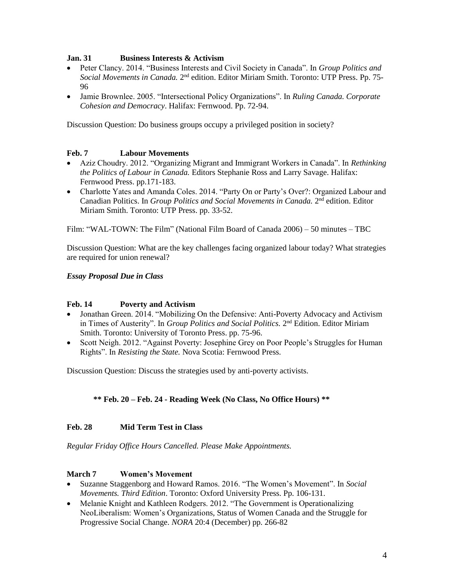## **Jan. 31 Business Interests & Activism**

- Peter Clancy. 2014. "Business Interests and Civil Society in Canada". In *Group Politics and*  Social Movements in Canada. 2<sup>nd</sup> edition. Editor Miriam Smith. Toronto: UTP Press. Pp. 75-96
- Jamie Brownlee. 2005. "Intersectional Policy Organizations". In *Ruling Canada. Corporate Cohesion and Democracy*. Halifax: Fernwood. Pp. 72-94.

Discussion Question: Do business groups occupy a privileged position in society?

## **Feb. 7 Labour Movements**

- Aziz Choudry. 2012. "Organizing Migrant and Immigrant Workers in Canada". In *Rethinking the Politics of Labour in Canada.* Editors Stephanie Ross and Larry Savage. Halifax: Fernwood Press. pp.171-183.
- Charlotte Yates and Amanda Coles. 2014. "Party On or Party's Over?: Organized Labour and Canadian Politics. In *Group Politics and Social Movements in Canada*. 2<sup>nd</sup> edition. Editor Miriam Smith. Toronto: UTP Press. pp. 33-52.

Film: "WAL-TOWN: The Film" (National Film Board of Canada 2006) – 50 minutes – TBC

Discussion Question: What are the key challenges facing organized labour today? What strategies are required for union renewal?

### *Essay Proposal Due in Class*

### **Feb. 14 Poverty and Activism**

- Jonathan Green. 2014. "Mobilizing On the Defensive: Anti-Poverty Advocacy and Activism in Times of Austerity". In *Group Politics and Social Politics*. 2<sup>nd</sup> Edition. Editor Miriam Smith. Toronto: University of Toronto Press. pp. 75-96.
- Scott Neigh. 2012. "Against Poverty: Josephine Grey on Poor People's Struggles for Human Rights". In *Resisting the State.* Nova Scotia: Fernwood Press.

Discussion Question: Discuss the strategies used by anti-poverty activists.

## **\*\* Feb. 20 – Feb. 24 - Reading Week (No Class, No Office Hours) \*\***

### **Feb. 28 Mid Term Test in Class**

*Regular Friday Office Hours Cancelled. Please Make Appointments.*

### **March 7 Women's Movement**

- Suzanne Staggenborg and Howard Ramos. 2016. "The Women's Movement". In *Social Movements. Third Edition*. Toronto: Oxford University Press. Pp. 106-131.
- Melanie Knight and Kathleen Rodgers. 2012. "The Government is Operationalizing NeoLiberalism: Women's Organizations, Status of Women Canada and the Struggle for Progressive Social Change. *NORA* 20:4 (December) pp. 266-82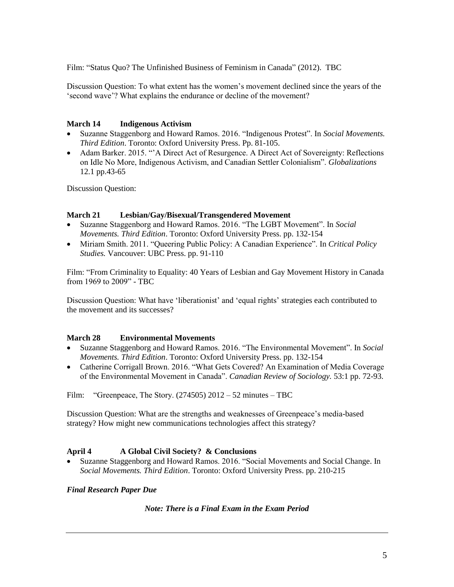Film: "Status Quo? The Unfinished Business of Feminism in Canada" (2012). TBC

Discussion Question: To what extent has the women's movement declined since the years of the 'second wave'? What explains the endurance or decline of the movement?

## **March 14 Indigenous Activism**

- Suzanne Staggenborg and Howard Ramos. 2016. "Indigenous Protest". In *Social Movements. Third Edition*. Toronto: Oxford University Press. Pp. 81-105.
- Adam Barker. 2015. "'A Direct Act of Resurgence. A Direct Act of Sovereignty: Reflections on Idle No More, Indigenous Activism, and Canadian Settler Colonialism". *Globalizations*  12.1 pp.43-65

Discussion Question:

## **March 21 Lesbian/Gay/Bisexual/Transgendered Movement**

- Suzanne Staggenborg and Howard Ramos. 2016. "The LGBT Movement". In *Social Movements. Third Edition*. Toronto: Oxford University Press. pp. 132-154
- Miriam Smith. 2011. "Queering Public Policy: A Canadian Experience". In *Critical Policy Studies.* Vancouver: UBC Press. pp. 91-110

Film: "From Criminality to Equality: 40 Years of Lesbian and Gay Movement History in Canada from 1969 to 2009" - TBC

Discussion Question: What have 'liberationist' and 'equal rights' strategies each contributed to the movement and its successes?

### **March 28 Environmental Movements**

- Suzanne Staggenborg and Howard Ramos. 2016. "The Environmental Movement". In *Social Movements. Third Edition*. Toronto: Oxford University Press. pp. 132-154
- Catherine Corrigall Brown. 2016. "What Gets Covered? An Examination of Media Coverage of the Environmental Movement in Canada". *Canadian Review of Sociology.* 53:1 pp. 72-93.

Film: "Greenpeace, The Story.  $(274505)$  2012 – 52 minutes – TBC

Discussion Question: What are the strengths and weaknesses of Greenpeace's media-based strategy? How might new communications technologies affect this strategy?

## **April 4 A Global Civil Society? & Conclusions**

 Suzanne Staggenborg and Howard Ramos. 2016. "Social Movements and Social Change. In *Social Movements. Third Edition*. Toronto: Oxford University Press. pp. 210-215

## *Final Research Paper Due*

### *Note: There is a Final Exam in the Exam Period*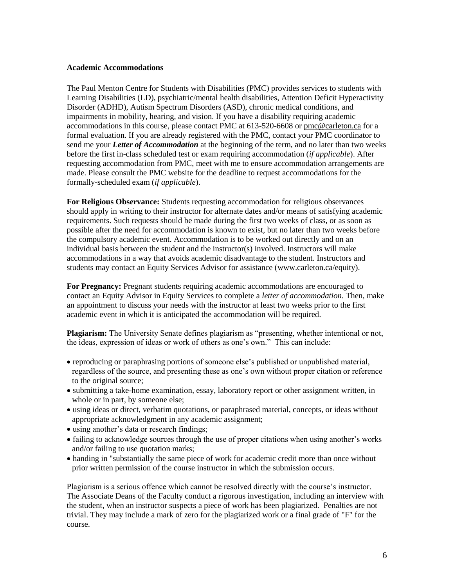#### **Academic Accommodations**

The Paul Menton Centre for Students with Disabilities (PMC) provides services to students with Learning Disabilities (LD), psychiatric/mental health disabilities, Attention Deficit Hyperactivity Disorder (ADHD), Autism Spectrum Disorders (ASD), chronic medical conditions, and impairments in mobility, hearing, and vision. If you have a disability requiring academic accommodations in this course, please contact PMC at 613-520-6608 or [pmc@carleton.ca](mailto:pmc@carleton.ca) for a formal evaluation. If you are already registered with the PMC, contact your PMC coordinator to send me your *Letter of Accommodation* at the beginning of the term, and no later than two weeks before the first in-class scheduled test or exam requiring accommodation (*if applicable*). After requesting accommodation from PMC, meet with me to ensure accommodation arrangements are made. Please consult the PMC website for the deadline to request accommodations for the formally-scheduled exam (*if applicable*).

**For Religious Observance:** Students requesting accommodation for religious observances should apply in writing to their instructor for alternate dates and/or means of satisfying academic requirements. Such requests should be made during the first two weeks of class, or as soon as possible after the need for accommodation is known to exist, but no later than two weeks before the compulsory academic event. Accommodation is to be worked out directly and on an individual basis between the student and the instructor(s) involved. Instructors will make accommodations in a way that avoids academic disadvantage to the student. Instructors and students may contact an Equity Services Advisor for assistance (www.carleton.ca/equity).

**For Pregnancy:** Pregnant students requiring academic accommodations are encouraged to contact an Equity Advisor in Equity Services to complete a *letter of accommodation*. Then, make an appointment to discuss your needs with the instructor at least two weeks prior to the first academic event in which it is anticipated the accommodation will be required.

**Plagiarism:** The University Senate defines plagiarism as "presenting, whether intentional or not, the ideas, expression of ideas or work of others as one's own." This can include:

- reproducing or paraphrasing portions of someone else's published or unpublished material, regardless of the source, and presenting these as one's own without proper citation or reference to the original source;
- submitting a take-home examination, essay, laboratory report or other assignment written, in whole or in part, by someone else;
- using ideas or direct, verbatim quotations, or paraphrased material, concepts, or ideas without appropriate acknowledgment in any academic assignment;
- using another's data or research findings;
- failing to acknowledge sources through the use of proper citations when using another's works and/or failing to use quotation marks;
- handing in "substantially the same piece of work for academic credit more than once without prior written permission of the course instructor in which the submission occurs.

Plagiarism is a serious offence which cannot be resolved directly with the course's instructor. The Associate Deans of the Faculty conduct a rigorous investigation, including an interview with the student, when an instructor suspects a piece of work has been plagiarized. Penalties are not trivial. They may include a mark of zero for the plagiarized work or a final grade of "F" for the course.